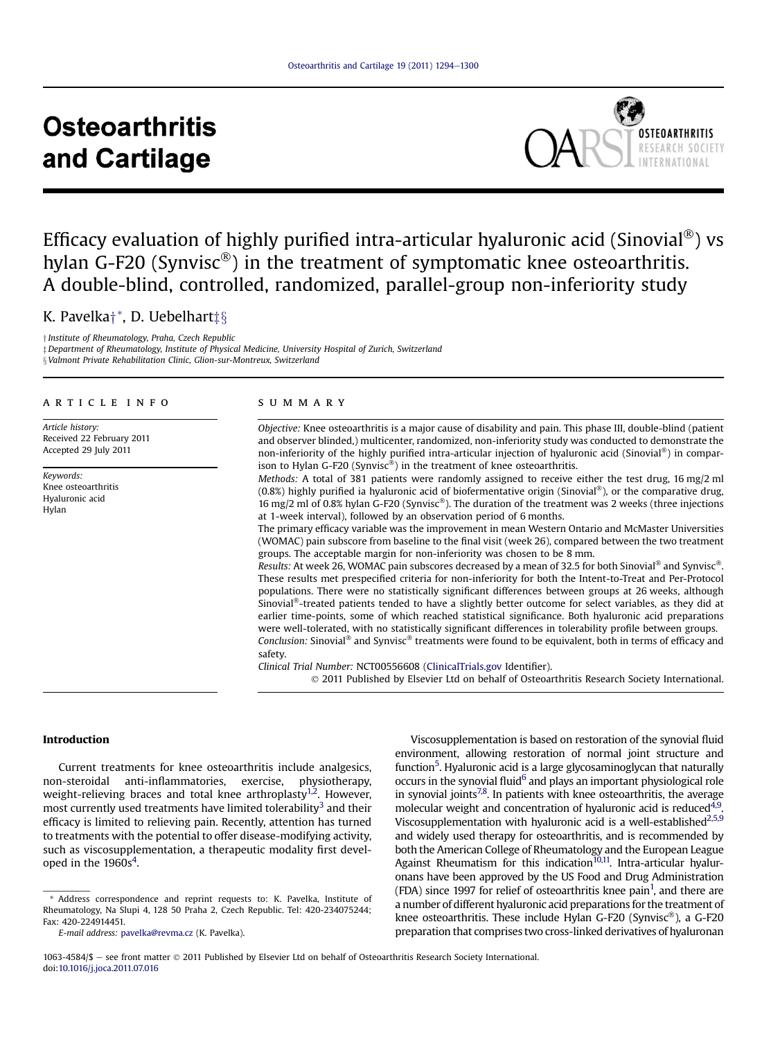# **Osteoarthritis** and Cartilage



# Efficacy evaluation of highly purified intra-articular hyaluronic acid (Sinovial<sup>®</sup>) vs hylan G-F20 (Synvisc<sup>®</sup>) in the treatment of symptomatic knee osteoarthritis. A double-blind, controlled, randomized, parallel-group non-inferiority study

# K. Pavelka<sup>+\*</sup>, D. Uebelhart‡§

y Institute of Rheumatology, Praha, Czech Republic  $\pm$  Department of Rheumatology, Institute of Physical Medicine, University Hospital of Zurich, Switzerland § Valmont Private Rehabilitation Clinic, Glion-sur-Montreux, Switzerland

# article info

Article history: Received 22 February 2011 Accepted 29 July 2011

Keywords: Knee osteoarthritis Hyaluronic acid Hylan

# summary

Objective: Knee osteoarthritis is a major cause of disability and pain. This phase III, double-blind (patient and observer blinded,) multicenter, randomized, non-inferiority study was conducted to demonstrate the non-inferiority of the highly purified intra-articular injection of hyaluronic acid (Sinovial<sup>®</sup>) in comparison to Hylan G-F20 (Synvisc<sup>®</sup>) in the treatment of knee osteoarthritis.

Methods: A total of 381 patients were randomly assigned to receive either the test drug, 16 mg/2 ml  $(0.8\%)$  highly purified ia hyaluronic acid of biofermentative origin (Sinovial<sup>®</sup>), or the comparative drug, 16 mg/2 ml of 0.8% hylan G-F20 (Synvisc®). The duration of the treatment was 2 weeks (three injections at 1-week interval), followed by an observation period of 6 months.

The primary efficacy variable was the improvement in mean Western Ontario and McMaster Universities (WOMAC) pain subscore from baseline to the final visit (week 26), compared between the two treatment groups. The acceptable margin for non-inferiority was chosen to be 8 mm.

Results: At week 26, WOMAC pain subscores decreased by a mean of 32.5 for both Sinovial® and Synvisc®. These results met prespecified criteria for non-inferiority for both the Intent-to-Treat and Per-Protocol populations. There were no statistically significant differences between groups at 26 weeks, although Sinovial $\mathcal{F}$ -treated patients tended to have a slightly better outcome for select variables, as they did at earlier time-points, some of which reached statistical significance. Both hyaluronic acid preparations were well-tolerated, with no statistically significant differences in tolerability profile between groups. Conclusion: Sinovial<sup>®</sup> and Synvisc<sup>®</sup> treatments were found to be equivalent, both in terms of efficacy and safety.

Clinical Trial Number: NCT00556608 [\(ClinicalTrials.gov](http://ClinicalTrials.gov) Identifier).

2011 Published by Elsevier Ltd on behalf of Osteoarthritis Research Society International.

# Introduction

Current treatments for knee osteoarthritis include analgesics, non-steroidal anti-inflammatories, exercise, physiotherapy, weight-relieving braces and total knee arthroplasty<sup>1,2</sup>. However, most currently used treatments have limited tolerability<sup>[3](#page-6-0)</sup> and their efficacy is limited to relieving pain. Recently, attention has turned to treatments with the potential to offer disease-modifying activity, such as viscosupplementation, a therapeutic modality first devel-oped in the 1960s<sup>[4](#page-6-0)</sup>.

Viscosupplementation is based on restoration of the synovial fluid environment, allowing restoration of normal joint structure and function<sup>5</sup>. Hyaluronic acid is a large glycosaminoglycan that naturally occurs in the synovial fluid<sup>6</sup> and plays an important physiological role in synovial joints $7,8$ . In patients with knee osteoarthritis, the average molecular weight and concentration of hyaluronic acid is reduced<sup>4,9</sup>. Viscosupplementation with hyaluronic acid is a well-established $^{2,5,9}$ and widely used therapy for osteoarthritis, and is recommended by both the American College of Rheumatology and the European League Against Rheumatism for this indication<sup>10,11</sup>. Intra-articular hyaluronans have been approved by the US Food and Drug Administration (FDA) since 1997 for relief of osteoarthritis knee pain<sup>1</sup>, and there are a number of different hyaluronic acid preparations for the treatment of knee osteoarthritis. These include Hylan G-F20 (Synvisc<sup>®</sup>), a G-F20 preparation that comprises two cross-linked derivatives of hyaluronan

1063-4584/\$ - see front matter  $\circ$  2011 Published by Elsevier Ltd on behalf of Osteoarthritis Research Society International. doi:[10.1016/j.joca.2011.07.016](http://dx.doi.org/10.1016/j.joca.2011.07.016)

<sup>\*</sup> Address correspondence and reprint requests to: K. Pavelka, Institute of Rheumatology, Na Slupi 4, 128 50 Praha 2, Czech Republic. Tel: 420-234075244; Fax: 420-224914451.

E-mail address: [pavelka@revma.cz](mailto:pavelka@revma.cz) (K. Pavelka).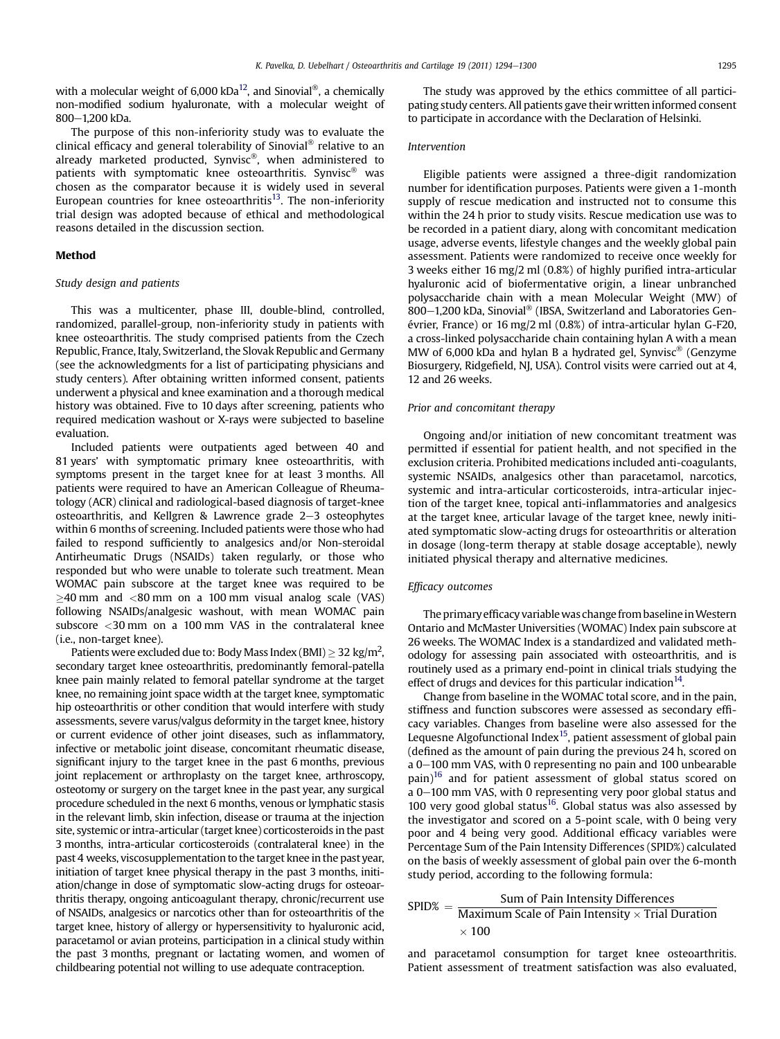with a molecular weight of  $6,000$  kDa<sup>12</sup>, and Sinovial<sup>®</sup>, a chemically non-modified sodium hyaluronate, with a molecular weight of 800-1200 kDa.

The purpose of this non-inferiority study was to evaluate the clinical efficacy and general tolerability of Sinovial® relative to an already marketed producted, Synvisc®, when administered to patients with symptomatic knee osteoarthritis. Synvisc<sup>®</sup> was chosen as the comparator because it is widely used in several European countries for knee osteoarthritis<sup>[13](#page-6-0)</sup>. The non-inferiority trial design was adopted because of ethical and methodological reasons detailed in the discussion section.

# Method

# Study design and patients

This was a multicenter, phase III, double-blind, controlled, randomized, parallel-group, non-inferiority study in patients with knee osteoarthritis. The study comprised patients from the Czech Republic, France, Italy, Switzerland, the Slovak Republic and Germany (see the acknowledgments for a list of participating physicians and study centers). After obtaining written informed consent, patients underwent a physical and knee examination and a thorough medical history was obtained. Five to 10 days after screening, patients who required medication washout or X-rays were subjected to baseline evaluation.

Included patients were outpatients aged between 40 and 81 years' with symptomatic primary knee osteoarthritis, with symptoms present in the target knee for at least 3 months. All patients were required to have an American Colleague of Rheumatology (ACR) clinical and radiological-based diagnosis of target-knee osteoarthritis, and Kellgren & Lawrence grade  $2-3$  osteophytes within 6 months of screening. Included patients were those who had failed to respond sufficiently to analgesics and/or Non-steroidal Antirheumatic Drugs (NSAIDs) taken regularly, or those who responded but who were unable to tolerate such treatment. Mean WOMAC pain subscore at the target knee was required to be  $\geq$ 40 mm and <80 mm on a 100 mm visual analog scale (VAS) following NSAIDs/analgesic washout, with mean WOMAC pain subscore <30 mm on a 100 mm VAS in the contralateral knee (i.e., non-target knee).

Patients were excluded due to: Body Mass Index (BMI)  $\geq$  32 kg/m<sup>2</sup>, secondary target knee osteoarthritis, predominantly femoral-patella knee pain mainly related to femoral patellar syndrome at the target knee, no remaining joint space width at the target knee, symptomatic hip osteoarthritis or other condition that would interfere with study assessments, severe varus/valgus deformity in the target knee, history or current evidence of other joint diseases, such as inflammatory, infective or metabolic joint disease, concomitant rheumatic disease, significant injury to the target knee in the past 6 months, previous joint replacement or arthroplasty on the target knee, arthroscopy, osteotomy or surgery on the target knee in the past year, any surgical procedure scheduled in the next 6 months, venous or lymphatic stasis in the relevant limb, skin infection, disease or trauma at the injection site, systemic or intra-articular (target knee) corticosteroids in the past 3 months, intra-articular corticosteroids (contralateral knee) in the past 4 weeks, viscosupplementation to the target knee in the past year, initiation of target knee physical therapy in the past 3 months, initiation/change in dose of symptomatic slow-acting drugs for osteoarthritis therapy, ongoing anticoagulant therapy, chronic/recurrent use of NSAIDs, analgesics or narcotics other than for osteoarthritis of the target knee, history of allergy or hypersensitivity to hyaluronic acid, paracetamol or avian proteins, participation in a clinical study within the past 3 months, pregnant or lactating women, and women of childbearing potential not willing to use adequate contraception.

The study was approved by the ethics committee of all participating study centers. All patients gave their written informed consent to participate in accordance with the Declaration of Helsinki.

### Intervention

Eligible patients were assigned a three-digit randomization number for identification purposes. Patients were given a 1-month supply of rescue medication and instructed not to consume this within the 24 h prior to study visits. Rescue medication use was to be recorded in a patient diary, along with concomitant medication usage, adverse events, lifestyle changes and the weekly global pain assessment. Patients were randomized to receive once weekly for 3 weeks either 16 mg/2 ml (0.8%) of highly purified intra-articular hyaluronic acid of biofermentative origin, a linear unbranched polysaccharide chain with a mean Molecular Weight (MW) of 800 $-1,200$  kDa, Sinovial<sup>®</sup> (IBSA, Switzerland and Laboratories Genévrier, France) or 16 mg/2 ml (0.8%) of intra-articular hylan G-F20, a cross-linked polysaccharide chain containing hylan A with a mean MW of 6,000 kDa and hylan B a hydrated gel, Synvisc® (Genzyme Biosurgery, Ridgefield, NJ, USA). Control visits were carried out at 4, 12 and 26 weeks.

# Prior and concomitant therapy

Ongoing and/or initiation of new concomitant treatment was permitted if essential for patient health, and not specified in the exclusion criteria. Prohibited medications included anti-coagulants, systemic NSAIDs, analgesics other than paracetamol, narcotics, systemic and intra-articular corticosteroids, intra-articular injection of the target knee, topical anti-inflammatories and analgesics at the target knee, articular lavage of the target knee, newly initiated symptomatic slow-acting drugs for osteoarthritis or alteration in dosage (long-term therapy at stable dosage acceptable), newly initiated physical therapy and alternative medicines.

# Efficacy outcomes

The primary efficacy variable was change from baseline in Western Ontario and McMaster Universities (WOMAC) Index pain subscore at 26 weeks. The WOMAC Index is a standardized and validated methodology for assessing pain associated with osteoarthritis, and is routinely used as a primary end-point in clinical trials studying the effect of drugs and devices for this particular indication<sup>14</sup>.

Change from baseline in the WOMAC total score, and in the pain, stiffness and function subscores were assessed as secondary efficacy variables. Changes from baseline were also assessed for the Lequesne Algofunctional Index<sup>15</sup>, patient assessment of global pain (defined as the amount of pain during the previous 24 h, scored on a 0-100 mm VAS, with 0 representing no pain and 100 unbearable  $pain$ <sup>16</sup> and for patient assessment of global status scored on a 0-100 mm VAS, with 0 representing very poor global status and 100 very good global status<sup>16</sup>. Global status was also assessed by the investigator and scored on a 5-point scale, with 0 being very poor and 4 being very good. Additional efficacy variables were Percentage Sum of the Pain Intensity Differences (SPID%) calculated on the basis of weekly assessment of global pain over the 6-month study period, according to the following formula:

# $\text{SPID\%} = \frac{\text{Sum of Pain Intensity Differences}}{\text{Maximum Scale of Pain Intensity} \times \text{Trial Duration}}$  $\times$  100

and paracetamol consumption for target knee osteoarthritis. Patient assessment of treatment satisfaction was also evaluated,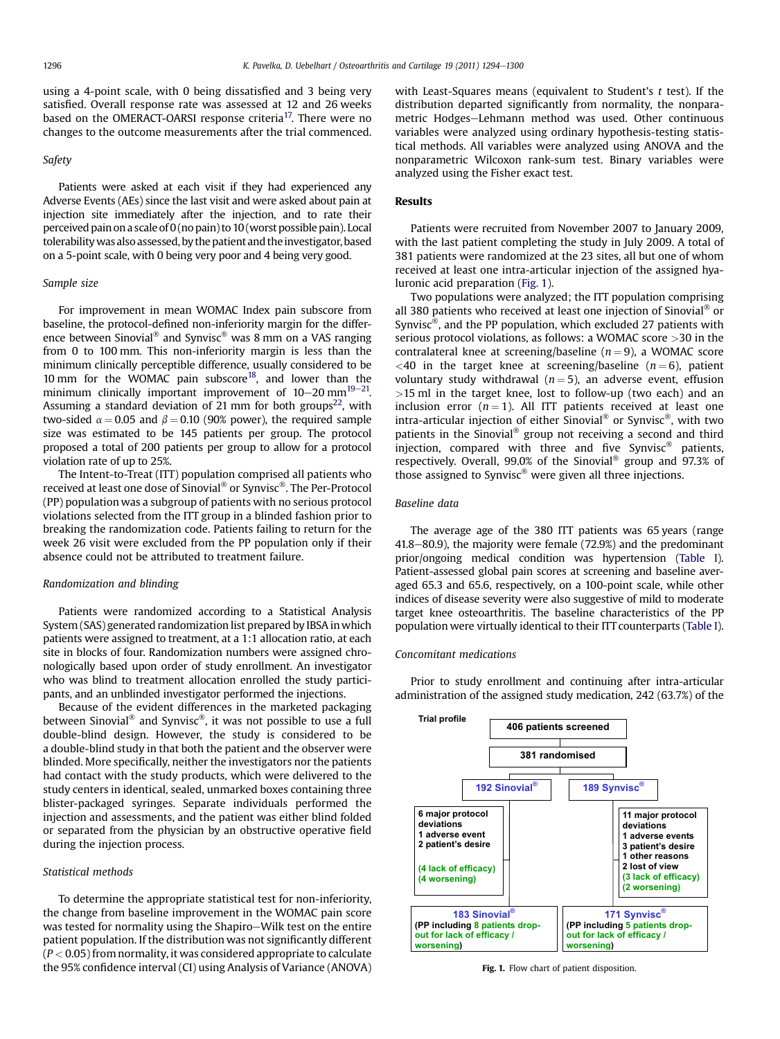using a 4-point scale, with 0 being dissatisfied and 3 being very satisfied. Overall response rate was assessed at 12 and 26 weeks based on the OMERACT-OARSI response criteria<sup>17</sup>. There were no changes to the outcome measurements after the trial commenced.

# Safety

Patients were asked at each visit if they had experienced any Adverse Events (AEs) since the last visit and were asked about pain at injection site immediately after the injection, and to rate their perceived pain on a scale of 0 (no pain) to 10 (worst possible pain). Local tolerability was also assessed, by the patient and the investigator, based on a 5-point scale, with 0 being very poor and 4 being very good.

### Sample size

For improvement in mean WOMAC Index pain subscore from baseline, the protocol-defined non-inferiority margin for the difference between Sinovial<sup>®</sup> and Synvisc<sup>®</sup> was 8 mm on a VAS ranging from 0 to 100 mm. This non-inferiority margin is less than the minimum clinically perceptible difference, usually considered to be 10 mm for the WOMAC pain subscore<sup>18</sup>, and lower than the minimum clinically important improvement of  $10-20$  mm<sup>[19](#page-6-0)-21</sup>. Assuming a standard deviation of 21 mm for both groups<sup>22</sup>, with two-sided  $\alpha = 0.05$  and  $\beta = 0.10$  (90% power), the required sample size was estimated to be 145 patients per group. The protocol proposed a total of 200 patients per group to allow for a protocol violation rate of up to 25%.

The Intent-to-Treat (ITT) population comprised all patients who received at least one dose of Sinovial<sup>®</sup> or Synvisc<sup>®</sup>. The Per-Protocol (PP) population was a subgroup of patients with no serious protocol violations selected from the ITT group in a blinded fashion prior to breaking the randomization code. Patients failing to return for the week 26 visit were excluded from the PP population only if their absence could not be attributed to treatment failure.

### Randomization and blinding

Patients were randomized according to a Statistical Analysis System (SAS) generated randomization list prepared by IBSA inwhich patients were assigned to treatment, at a 1:1 allocation ratio, at each site in blocks of four. Randomization numbers were assigned chronologically based upon order of study enrollment. An investigator who was blind to treatment allocation enrolled the study participants, and an unblinded investigator performed the injections.

Because of the evident differences in the marketed packaging between Sinovial<sup>®</sup> and Synvisc<sup>®</sup>, it was not possible to use a full double-blind design. However, the study is considered to be a double-blind study in that both the patient and the observer were blinded. More specifically, neither the investigators nor the patients had contact with the study products, which were delivered to the study centers in identical, sealed, unmarked boxes containing three blister-packaged syringes. Separate individuals performed the injection and assessments, and the patient was either blind folded or separated from the physician by an obstructive operative field during the injection process.

# Statistical methods

To determine the appropriate statistical test for non-inferiority, the change from baseline improvement in the WOMAC pain score was tested for normality using the Shapiro-Wilk test on the entire patient population. If the distribution was not significantly different  $(P < 0.05)$  from normality, it was considered appropriate to calculate the 95% confidence interval (CI) using Analysis of Variance (ANOVA) with Least-Squares means (equivalent to Student's  $t$  test). If the distribution departed significantly from normality, the nonparametric Hodges-Lehmann method was used. Other continuous variables were analyzed using ordinary hypothesis-testing statistical methods. All variables were analyzed using ANOVA and the nonparametric Wilcoxon rank-sum test. Binary variables were analyzed using the Fisher exact test.

# Results

Patients were recruited from November 2007 to January 2009, with the last patient completing the study in July 2009. A total of 381 patients were randomized at the 23 sites, all but one of whom received at least one intra-articular injection of the assigned hyaluronic acid preparation (Fig. 1).

Two populations were analyzed; the ITT population comprising all 380 patients who received at least one injection of Sinovial<sup>®</sup> or Synvisc<sup>®</sup>, and the PP population, which excluded 27 patients with serious protocol violations, as follows: a WOMAC score >30 in the contralateral knee at screening/baseline  $(n = 9)$ , a WOMAC score <40 in the target knee at screening/baseline ( $n = 6$ ), patient voluntary study withdrawal ( $n = 5$ ), an adverse event, effusion  $>15$  ml in the target knee, lost to follow-up (two each) and an inclusion error  $(n = 1)$ . All ITT patients received at least one intra-articular injection of either Sinovial® or Synvisc®, with two patients in the Sinovial® group not receiving a second and third injection, compared with three and five Synvisc® patients, respectively. Overall, 99.0% of the Sinovial<sup>®</sup> group and 97.3% of those assigned to Synvisc<sup>®</sup> were given all three injections.

# Baseline data

The average age of the 380 ITT patients was 65 years (range  $41.8-80.9$ ), the majority were female (72.9%) and the predominant prior/ongoing medical condition was hypertension [\(Table I](#page-3-0)). Patient-assessed global pain scores at screening and baseline averaged 65.3 and 65.6, respectively, on a 100-point scale, while other indices of disease severity were also suggestive of mild to moderate target knee osteoarthritis. The baseline characteristics of the PP population were virtually identical to their ITT counterparts [\(Table I](#page-3-0)).

# Concomitant medications

Prior to study enrollment and continuing after intra-articular administration of the assigned study medication, 242 (63.7%) of the



Fig. 1. Flow chart of patient disposition.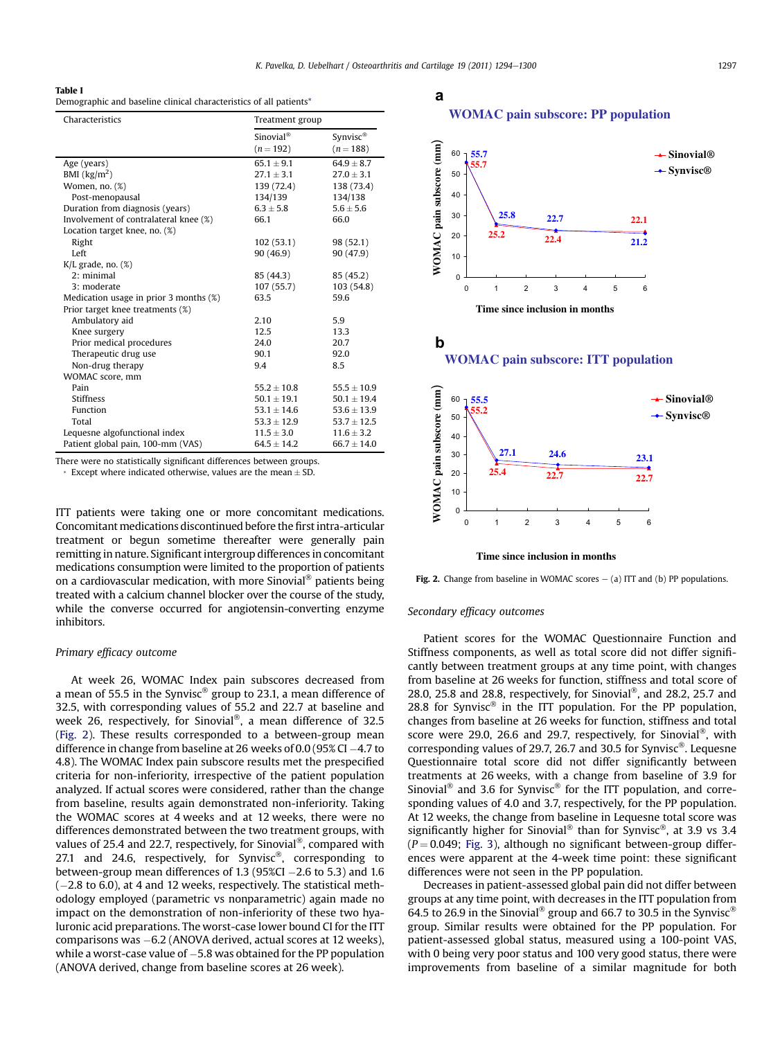K. Pavelka, D. Uebelhart / Osteoarthritis and Cartilage 19 (2011) 1294-1300 1297

# <span id="page-3-0"></span>Table I

Demographic and baseline clinical characteristics of all patients\*

| Characteristics                        | Treatment group       |                 |
|----------------------------------------|-----------------------|-----------------|
|                                        | Sinovial <sup>®</sup> | Synvisc®        |
|                                        | $(n = 192)$           | $(n=188)$       |
| Age (years)                            | $65.1 + 9.1$          | $64.9 \pm 8.7$  |
| BMI $\frac{\text{kg}}{m^2}$            | $27.1 \pm 3.1$        | $27.0 \pm 3.1$  |
| Women, no. (%)                         | 139 (72.4)            | 138 (73.4)      |
| Post-menopausal                        | 134/139               | 134/138         |
| Duration from diagnosis (years)        | $6.3 + 5.8$           | $5.6 + 5.6$     |
| Involvement of contralateral knee (%)  | 66.1                  | 66.0            |
| Location target knee, no. (%)          |                       |                 |
| Right                                  | 102(53.1)             | 98 (52.1)       |
| Left                                   | 90 (46.9)             | 90(47.9)        |
| $K/L$ grade, no. $(\%)$                |                       |                 |
| 2: minimal                             | 85 (44.3)             | 85 (45.2)       |
| 3: moderate                            | 107(55.7)             | 103(54.8)       |
| Medication usage in prior 3 months (%) | 63.5                  | 59.6            |
| Prior target knee treatments (%)       |                       |                 |
| Ambulatory aid                         | 2.10                  | 5.9             |
| Knee surgery                           | 12.5                  | 13.3            |
| Prior medical procedures               | 24.0                  | 20.7            |
| Therapeutic drug use                   | 90.1                  | 92.0            |
| Non-drug therapy                       | 9.4                   | 8.5             |
| WOMAC score, mm                        |                       |                 |
| Pain                                   | $55.2 + 10.8$         | $55.5 + 10.9$   |
| <b>Stiffness</b>                       | $50.1 + 19.1$         | $50.1 + 19.4$   |
| Function                               | $53.1 + 14.6$         | $53.6 + 13.9$   |
| Total                                  | $53.3 \pm 12.9$       | $53.7 \pm 12.5$ |
| Lequesne algofunctional index          | $11.5 \pm 3.0$        | $11.6 \pm 3.2$  |
| Patient global pain, 100-mm (VAS)      | $64.5 + 14.2$         | $66.7 + 14.0$   |

There were no statistically significant differences between groups.

Except where indicated otherwise, values are the mean  $\pm$  SD.

ITT patients were taking one or more concomitant medications. Concomitant medications discontinued before the first intra-articular treatment or begun sometime thereafter were generally pain remitting in nature. Significant intergroup differences in concomitant medications consumption were limited to the proportion of patients on a cardiovascular medication, with more Sinovial<sup>®</sup> patients being treated with a calcium channel blocker over the course of the study, while the converse occurred for angiotensin-converting enzyme inhibitors.

# Primary efficacy outcome

At week 26, WOMAC Index pain subscores decreased from a mean of 55.5 in the Synvisc® group to 23.1, a mean difference of 32.5, with corresponding values of 55.2 and 22.7 at baseline and week 26, respectively, for Sinovial®, a mean difference of 32.5 (Fig. 2). These results corresponded to a between-group mean difference in change from baseline at 26 weeks of 0.0 (95% CI  $-4.7$  to 4.8). The WOMAC Index pain subscore results met the prespecified criteria for non-inferiority, irrespective of the patient population analyzed. If actual scores were considered, rather than the change from baseline, results again demonstrated non-inferiority. Taking the WOMAC scores at 4 weeks and at 12 weeks, there were no differences demonstrated between the two treatment groups, with values of 25.4 and 22.7, respectively, for Sinovial<sup>®</sup>, compared with 27.1 and 24.6, respectively, for Synvisc<sup>®</sup>, corresponding to between-group mean differences of 1.3 (95%CI  $-2.6$  to 5.3) and 1.6  $(-2.8 \text{ to } 6.0)$ , at 4 and 12 weeks, respectively. The statistical methodology employed (parametric vs nonparametric) again made no impact on the demonstration of non-inferiority of these two hyaluronic acid preparations. The worst-case lower bound CI for the ITT comparisons was  $-6.2$  (ANOVA derived, actual scores at 12 weeks), while a worst-case value of  $-5.8$  was obtained for the PP population (ANOVA derived, change from baseline scores at 26 week).

# a **WOMAC pain subscore: PP population**





#### **Time since inclusion in months**

Fig. 2. Change from baseline in WOMAC scores  $-$  (a) ITT and (b) PP populations.

# Secondary efficacy outcomes

Patient scores for the WOMAC Questionnaire Function and Stiffness components, as well as total score did not differ significantly between treatment groups at any time point, with changes from baseline at 26 weeks for function, stiffness and total score of 28.0, 25.8 and 28.8, respectively, for Sinovial®, and 28.2, 25.7 and 28.8 for Synvisc® in the ITT population. For the PP population, changes from baseline at 26 weeks for function, stiffness and total score were 29.0, 26.6 and 29.7, respectively, for Sinovial®, with corresponding values of 29.7, 26.7 and 30.5 for Synvisc<sup>®</sup>. Lequesne Questionnaire total score did not differ significantly between treatments at 26 weeks, with a change from baseline of 3.9 for Sinovial<sup>®</sup> and 3.6 for Synvisc<sup>®</sup> for the ITT population, and corresponding values of 4.0 and 3.7, respectively, for the PP population. At 12 weeks, the change from baseline in Lequesne total score was significantly higher for Sinovial<sup>®</sup> than for Synvisc®, at 3.9 vs 3.4  $(P = 0.049;$  [Fig. 3\)](#page-4-0), although no significant between-group differences were apparent at the 4-week time point: these significant differences were not seen in the PP population.

Decreases in patient-assessed global pain did not differ between groups at any time point, with decreases in the ITT population from 64.5 to 26.9 in the Sinovial<sup>®</sup> group and 66.7 to 30.5 in the Synvisc<sup>®</sup> group. Similar results were obtained for the PP population. For patient-assessed global status, measured using a 100-point VAS, with 0 being very poor status and 100 very good status, there were improvements from baseline of a similar magnitude for both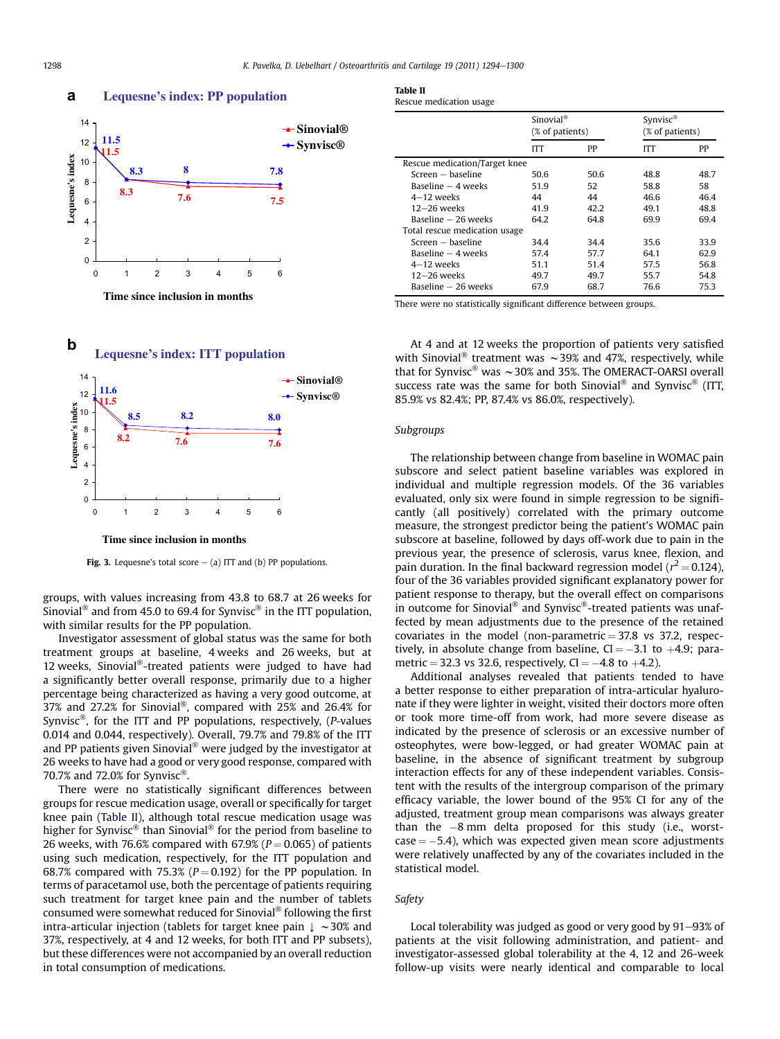<span id="page-4-0"></span>**a**



**Lequesne's index: PP population**

**Time since inclusion in months**



Fig. 3. Lequesne's total score  $-$  (a) ITT and (b) PP populations.

groups, with values increasing from 43.8 to 68.7 at 26 weeks for Sinovial<sup>®</sup> and from 45.0 to 69.4 for Synvisc<sup>®</sup> in the ITT population, with similar results for the PP population.

Investigator assessment of global status was the same for both treatment groups at baseline, 4 weeks and 26 weeks, but at 12 weeks, Sinovial<sup>®</sup>-treated patients were judged to have had a significantly better overall response, primarily due to a higher percentage being characterized as having a very good outcome, at 37% and 27.2% for Sinovial®, compared with 25% and 26.4% for Synvisc®, for the ITT and PP populations, respectively,  $(P$ -values 0.014 and 0.044, respectively). Overall, 79.7% and 79.8% of the ITT and PP patients given Sinovial<sup>®</sup> were judged by the investigator at 26 weeks to have had a good or very good response, compared with 70.7% and 72.0% for Synvisc<sup>®</sup>.

There were no statistically significant differences between groups for rescue medication usage, overall or specifically for target knee pain (Table II), although total rescue medication usage was higher for Synvisc<sup>®</sup> than Sinovial<sup>®</sup> for the period from baseline to 26 weeks, with 76.6% compared with 67.9% ( $P = 0.065$ ) of patients using such medication, respectively, for the ITT population and 68.7% compared with 75.3% ( $P = 0.192$ ) for the PP population. In terms of paracetamol use, both the percentage of patients requiring such treatment for target knee pain and the number of tablets consumed were somewhat reduced for Sinovial® following the first intra-articular injection (tablets for target knee pain  $\downarrow \sim 30\%$  and 37%, respectively, at 4 and 12 weeks, for both ITT and PP subsets), but these differences were not accompanied by an overall reduction in total consumption of medications.

| ı |  |
|---|--|
|   |  |

| Rescue medication usage |  |  |
|-------------------------|--|--|
|-------------------------|--|--|

|                               |      | Sinovial <sup>®</sup><br>(% of patients) |      | Synvisc <sup>®</sup><br>(% of patients) |  |
|-------------------------------|------|------------------------------------------|------|-----------------------------------------|--|
|                               | ITT  | PP                                       | ITT  | PP                                      |  |
| Rescue medication/Target knee |      |                                          |      |                                         |  |
| Screen - baseline             | 50.6 | 50.6                                     | 48.8 | 48.7                                    |  |
| Baseline $-4$ weeks           | 51.9 | 52                                       | 58.8 | 58                                      |  |
| $4-12$ weeks                  | 44   | 44                                       | 46.6 | 46.4                                    |  |
| $12-26$ weeks                 | 41.9 | 42.2                                     | 49.1 | 48.8                                    |  |
| Baseline – 26 weeks           | 64.2 | 64.8                                     | 69.9 | 69.4                                    |  |
| Total rescue medication usage |      |                                          |      |                                         |  |
| Screen – baseline             | 34.4 | 34.4                                     | 35.6 | 33.9                                    |  |
| Baseline $-4$ weeks           | 57.4 | 57.7                                     | 64.1 | 62.9                                    |  |
| $4-12$ weeks                  | 51.1 | 51.4                                     | 57.5 | 56.8                                    |  |
| $12-26$ weeks                 | 49.7 | 49.7                                     | 55.7 | 54.8                                    |  |
| Baseline – 26 weeks           | 67.9 | 68.7                                     | 76.6 | 75.3                                    |  |

There were no statistically significant difference between groups.

At 4 and at 12 weeks the proportion of patients very satisfied with Sinovial<sup>®</sup> treatment was  $\sim$  39% and 47%, respectively, while that for Synvisc® was  $\sim$  30% and 35%. The OMERACT-OARSI overall success rate was the same for both Sinovial<sup>®</sup> and Synvisc<sup>®</sup> (ITT, 85.9% vs 82.4%; PP, 87.4% vs 86.0%, respectively).

# Subgroups

The relationship between change from baseline in WOMAC pain subscore and select patient baseline variables was explored in individual and multiple regression models. Of the 36 variables evaluated, only six were found in simple regression to be significantly (all positively) correlated with the primary outcome measure, the strongest predictor being the patient's WOMAC pain subscore at baseline, followed by days off-work due to pain in the previous year, the presence of sclerosis, varus knee, flexion, and pain duration. In the final backward regression model ( $r^2 = 0.124$ ), four of the 36 variables provided significant explanatory power for patient response to therapy, but the overall effect on comparisons in outcome for Sinovial<sup>®</sup> and Synvisc<sup>®</sup>-treated patients was unaffected by mean adjustments due to the presence of the retained covariates in the model (non-parametric  $=$  37.8 vs 37.2, respectively, in absolute change from baseline,  $CI = -3.1$  to  $+4.9$ ; parametric = 32.3 vs 32.6, respectively,  $CI = -4.8$  to  $+4.2$ ).

Additional analyses revealed that patients tended to have a better response to either preparation of intra-articular hyaluronate if they were lighter in weight, visited their doctors more often or took more time-off from work, had more severe disease as indicated by the presence of sclerosis or an excessive number of osteophytes, were bow-legged, or had greater WOMAC pain at baseline, in the absence of significant treatment by subgroup interaction effects for any of these independent variables. Consistent with the results of the intergroup comparison of the primary efficacy variable, the lower bound of the 95% CI for any of the adjusted, treatment group mean comparisons was always greater than the  $-8$  mm delta proposed for this study (i.e., worst $case = -5.4$ ), which was expected given mean score adjustments were relatively unaffected by any of the covariates included in the statistical model.

# Safety

Local tolerability was judged as good or very good by 91-93% of patients at the visit following administration, and patient- and investigator-assessed global tolerability at the 4, 12 and 26-week follow-up visits were nearly identical and comparable to local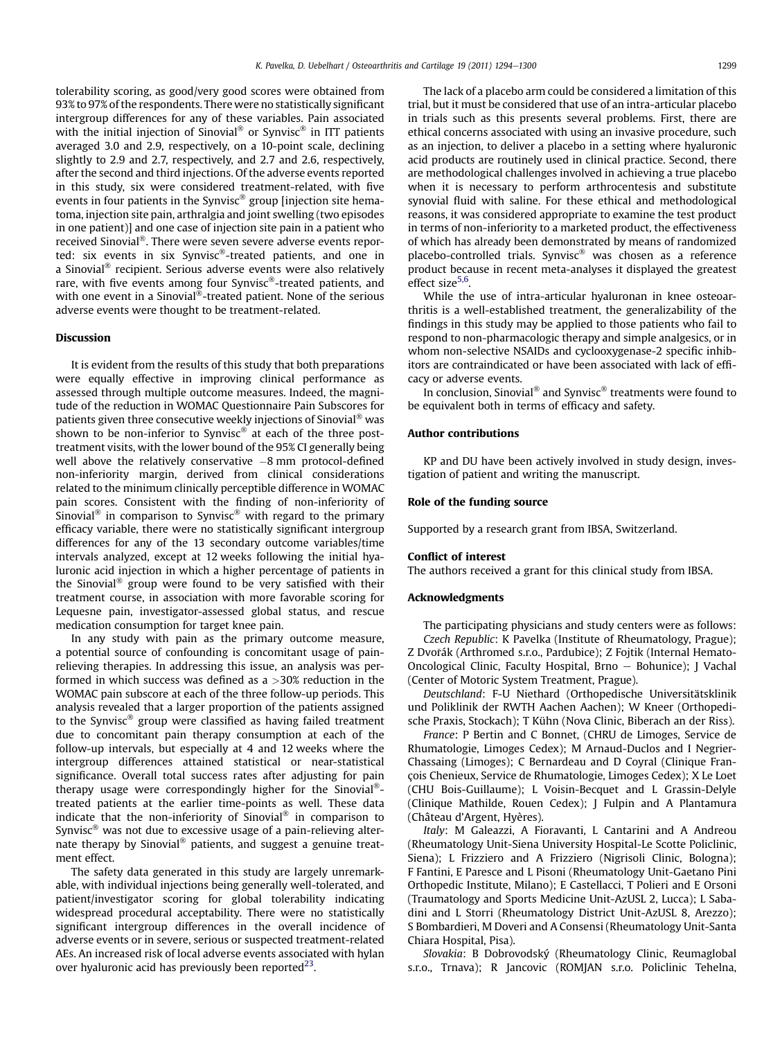tolerability scoring, as good/very good scores were obtained from 93% to 97% of the respondents. There were no statistically significant intergroup differences for any of these variables. Pain associated with the initial injection of Sinovial<sup>®</sup> or Synvisc<sup>®</sup> in ITT patients averaged 3.0 and 2.9, respectively, on a 10-point scale, declining slightly to 2.9 and 2.7, respectively, and 2.7 and 2.6, respectively, after the second and third injections. Of the adverse events reported in this study, six were considered treatment-related, with five events in four patients in the Synvisc® group [injection site hematoma, injection site pain, arthralgia and joint swelling (two episodes in one patient)] and one case of injection site pain in a patient who received Sinovial®. There were seven severe adverse events reported: six events in six Synvisc®-treated patients, and one in a Sinovial<sup>®</sup> recipient. Serious adverse events were also relatively rare, with five events among four Synvisc<sup>®</sup>-treated patients, and with one event in a Sinovial<sup>®</sup>-treated patient. None of the serious adverse events were thought to be treatment-related.

# Discussion

It is evident from the results of this study that both preparations were equally effective in improving clinical performance as assessed through multiple outcome measures. Indeed, the magnitude of the reduction in WOMAC Questionnaire Pain Subscores for patients given three consecutive weekly injections of Sinovial<sup>®</sup> was shown to be non-inferior to Synvisc® at each of the three posttreatment visits, with the lower bound of the 95% CI generally being well above the relatively conservative  $-8$  mm protocol-defined non-inferiority margin, derived from clinical considerations related to the minimum clinically perceptible difference in WOMAC pain scores. Consistent with the finding of non-inferiority of Sinovial<sup>®</sup> in comparison to Synvisc<sup>®</sup> with regard to the primary efficacy variable, there were no statistically significant intergroup differences for any of the 13 secondary outcome variables/time intervals analyzed, except at 12 weeks following the initial hyaluronic acid injection in which a higher percentage of patients in the Sinovial<sup>®</sup> group were found to be very satisfied with their treatment course, in association with more favorable scoring for Lequesne pain, investigator-assessed global status, and rescue medication consumption for target knee pain.

In any study with pain as the primary outcome measure, a potential source of confounding is concomitant usage of painrelieving therapies. In addressing this issue, an analysis was performed in which success was defined as a >30% reduction in the WOMAC pain subscore at each of the three follow-up periods. This analysis revealed that a larger proportion of the patients assigned to the Synvisc® group were classified as having failed treatment due to concomitant pain therapy consumption at each of the follow-up intervals, but especially at 4 and 12 weeks where the intergroup differences attained statistical or near-statistical significance. Overall total success rates after adjusting for pain therapy usage were correspondingly higher for the Sinovial<sup>®</sup>treated patients at the earlier time-points as well. These data indicate that the non-inferiority of Sinovial® in comparison to Synvisc $\mathscr{B}$  was not due to excessive usage of a pain-relieving alternate therapy by Sinovial<sup>®</sup> patients, and suggest a genuine treatment effect.

The safety data generated in this study are largely unremarkable, with individual injections being generally well-tolerated, and patient/investigator scoring for global tolerability indicating widespread procedural acceptability. There were no statistically significant intergroup differences in the overall incidence of adverse events or in severe, serious or suspected treatment-related AEs. An increased risk of local adverse events associated with hylan over hyaluronic acid has previously been reported $^{23}$ .

The lack of a placebo arm could be considered a limitation of this trial, but it must be considered that use of an intra-articular placebo in trials such as this presents several problems. First, there are ethical concerns associated with using an invasive procedure, such as an injection, to deliver a placebo in a setting where hyaluronic acid products are routinely used in clinical practice. Second, there are methodological challenges involved in achieving a true placebo when it is necessary to perform arthrocentesis and substitute synovial fluid with saline. For these ethical and methodological reasons, it was considered appropriate to examine the test product in terms of non-inferiority to a marketed product, the effectiveness of which has already been demonstrated by means of randomized placebo-controlled trials. Synvisc® was chosen as a reference product because in recent meta-analyses it displayed the greatest effect size<sup>5,6</sup>.

While the use of intra-articular hyaluronan in knee osteoarthritis is a well-established treatment, the generalizability of the findings in this study may be applied to those patients who fail to respond to non-pharmacologic therapy and simple analgesics, or in whom non-selective NSAIDs and cyclooxygenase-2 specific inhibitors are contraindicated or have been associated with lack of efficacy or adverse events.

In conclusion, Sinovial<sup>®</sup> and Synvisc<sup>®</sup> treatments were found to be equivalent both in terms of efficacy and safety.

# Author contributions

KP and DU have been actively involved in study design, investigation of patient and writing the manuscript.

# Role of the funding source

Supported by a research grant from IBSA, Switzerland.

### Conflict of interest

The authors received a grant for this clinical study from IBSA.

# Acknowledgments

The participating physicians and study centers were as follows: Czech Republic: K Pavelka (Institute of Rheumatology, Prague); Z Dvořák (Arthromed s.r.o., Pardubice); Z Fojtik (Internal Hemato-Oncological Clinic, Faculty Hospital, Brno - Bohunice); J Vachal (Center of Motoric System Treatment, Prague).

Deutschland: F-U Niethard (Orthopedische Universitätsklinik und Poliklinik der RWTH Aachen Aachen); W Kneer (Orthopedische Praxis, Stockach); T Kühn (Nova Clinic, Biberach an der Riss).

France: P Bertin and C Bonnet, (CHRU de Limoges, Service de Rhumatologie, Limoges Cedex); M Arnaud-Duclos and I Negrier-Chassaing (Limoges); C Bernardeau and D Coyral (Clinique François Chenieux, Service de Rhumatologie, Limoges Cedex); X Le Loet (CHU Bois-Guillaume); L Voisin-Becquet and L Grassin-Delyle (Clinique Mathilde, Rouen Cedex); J Fulpin and A Plantamura (Château d'Argent, Hyères).

Italy: M Galeazzi, A Fioravanti, L Cantarini and A Andreou (Rheumatology Unit-Siena University Hospital-Le Scotte Policlinic, Siena); L Frizziero and A Frizziero (Nigrisoli Clinic, Bologna); F Fantini, E Paresce and L Pisoni (Rheumatology Unit-Gaetano Pini Orthopedic Institute, Milano); E Castellacci, T Polieri and E Orsoni (Traumatology and Sports Medicine Unit-AzUSL 2, Lucca); L Sabadini and L Storri (Rheumatology District Unit-AzUSL 8, Arezzo); S Bombardieri, M Doveri and A Consensi (Rheumatology Unit-Santa Chiara Hospital, Pisa).

Slovakia: B Dobrovodský (Rheumatology Clinic, Reumaglobal s.r.o., Trnava); R Jancovic (ROMJAN s.r.o. Policlinic Tehelna,